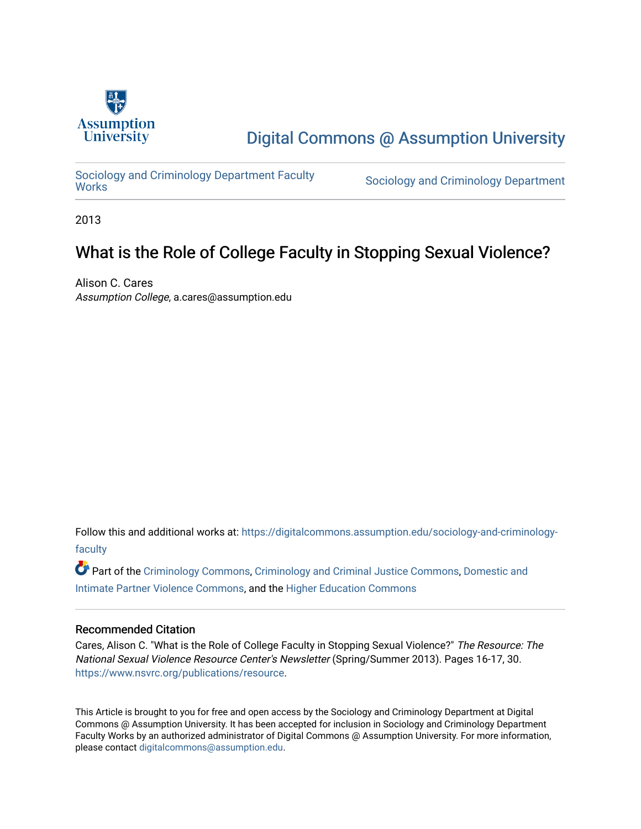

# [Digital Commons @ Assumption University](https://digitalcommons.assumption.edu/)

Sociology and Criminology Department Faculty<br>Works

Sociology and Criminology Department

2013

## What is the Role of College Faculty in Stopping Sexual Violence?

Alison C. Cares Assumption College, a.cares@assumption.edu

Follow this and additional works at: [https://digitalcommons.assumption.edu/sociology-and-criminology](https://digitalcommons.assumption.edu/sociology-and-criminology-faculty?utm_source=digitalcommons.assumption.edu%2Fsociology-and-criminology-faculty%2F6&utm_medium=PDF&utm_campaign=PDFCoverPages)[faculty](https://digitalcommons.assumption.edu/sociology-and-criminology-faculty?utm_source=digitalcommons.assumption.edu%2Fsociology-and-criminology-faculty%2F6&utm_medium=PDF&utm_campaign=PDFCoverPages)

Part of the [Criminology Commons](http://network.bepress.com/hgg/discipline/417?utm_source=digitalcommons.assumption.edu%2Fsociology-and-criminology-faculty%2F6&utm_medium=PDF&utm_campaign=PDFCoverPages), [Criminology and Criminal Justice Commons,](http://network.bepress.com/hgg/discipline/367?utm_source=digitalcommons.assumption.edu%2Fsociology-and-criminology-faculty%2F6&utm_medium=PDF&utm_campaign=PDFCoverPages) [Domestic and](http://network.bepress.com/hgg/discipline/1309?utm_source=digitalcommons.assumption.edu%2Fsociology-and-criminology-faculty%2F6&utm_medium=PDF&utm_campaign=PDFCoverPages)  [Intimate Partner Violence Commons](http://network.bepress.com/hgg/discipline/1309?utm_source=digitalcommons.assumption.edu%2Fsociology-and-criminology-faculty%2F6&utm_medium=PDF&utm_campaign=PDFCoverPages), and the [Higher Education Commons](http://network.bepress.com/hgg/discipline/1245?utm_source=digitalcommons.assumption.edu%2Fsociology-and-criminology-faculty%2F6&utm_medium=PDF&utm_campaign=PDFCoverPages)

#### Recommended Citation

Cares, Alison C. "What is the Role of College Faculty in Stopping Sexual Violence?" The Resource: The National Sexual Violence Resource Center's Newsletter (Spring/Summer 2013). Pages 16-17, 30. [https://www.nsvrc.org/publications/resource.](https://www.nsvrc.org/publications/resource)

This Article is brought to you for free and open access by the Sociology and Criminology Department at Digital Commons @ Assumption University. It has been accepted for inclusion in Sociology and Criminology Department Faculty Works by an authorized administrator of Digital Commons @ Assumption University. For more information, please contact [digitalcommons@assumption.edu](mailto:digitalcommons@assumption.edu).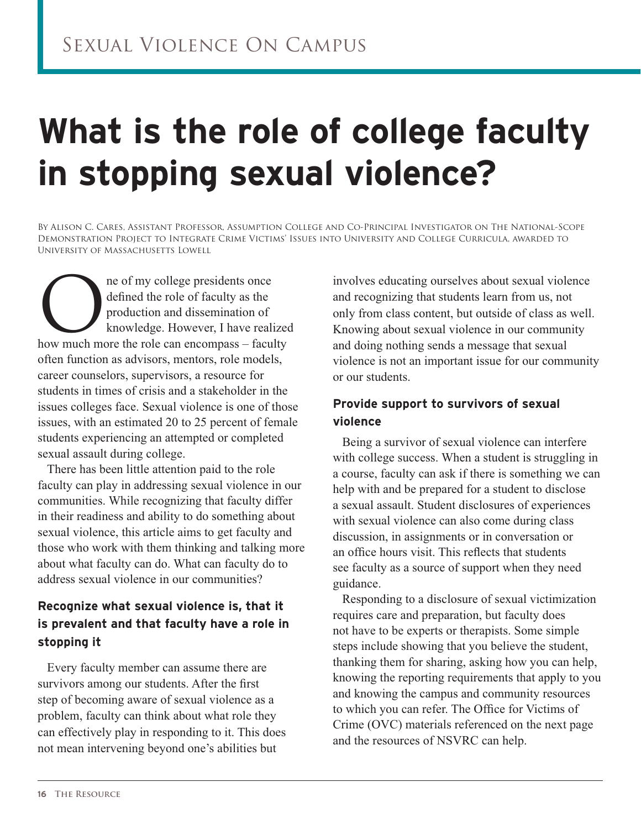# **What is the role of college faculty in stopping sexual violence?**

By Alison C. Cares, Assistant Professor, Assumption College and Co-Principal Investigator on The National-Scope Demonstration Project to Integrate Crime Victims' Issues into University and College Curricula, awarded to University of Massachusetts Lowell

ne of my college presidents once<br>defined the role of faculty as the<br>production and dissemination of<br>knowledge. However, I have reali defined the role of faculty as the production and dissemination of knowledge. However, I have realized how much more the role can encompass – faculty often function as advisors, mentors, role models, career counselors, supervisors, a resource for students in times of crisis and a stakeholder in the issues colleges face. Sexual violence is one of those issues, with an estimated 20 to 25 percent of female students experiencing an attempted or completed sexual assault during college.

There has been little attention paid to the role faculty can play in addressing sexual violence in our communities. While recognizing that faculty differ in their readiness and ability to do something about sexual violence, this article aims to get faculty and those who work with them thinking and talking more about what faculty can do. What can faculty do to address sexual violence in our communities?

#### **Recognize what sexual violence is, that it is prevalent and that faculty have a role in stopping it**

Every faculty member can assume there are survivors among our students. After the first step of becoming aware of sexual violence as a problem, faculty can think about what role they can effectively play in responding to it. This does not mean intervening beyond one's abilities but

involves educating ourselves about sexual violence and recognizing that students learn from us, not only from class content, but outside of class as well. Knowing about sexual violence in our community and doing nothing sends a message that sexual violence is not an important issue for our community or our students.

#### **Provide support to survivors of sexual violence**

Being a survivor of sexual violence can interfere with college success. When a student is struggling in a course, faculty can ask if there is something we can help with and be prepared for a student to disclose a sexual assault. Student disclosures of experiences with sexual violence can also come during class discussion, in assignments or in conversation or an office hours visit. This reflects that students see faculty as a source of support when they need guidance.

Responding to a disclosure of sexual victimization requires care and preparation, but faculty does not have to be experts or therapists. Some simple steps include showing that you believe the student, thanking them for sharing, asking how you can help, knowing the reporting requirements that apply to you and knowing the campus and community resources to which you can refer. The Office for Victims of Crime (OVC) materials referenced on the next page and the resources of NSVRC can help.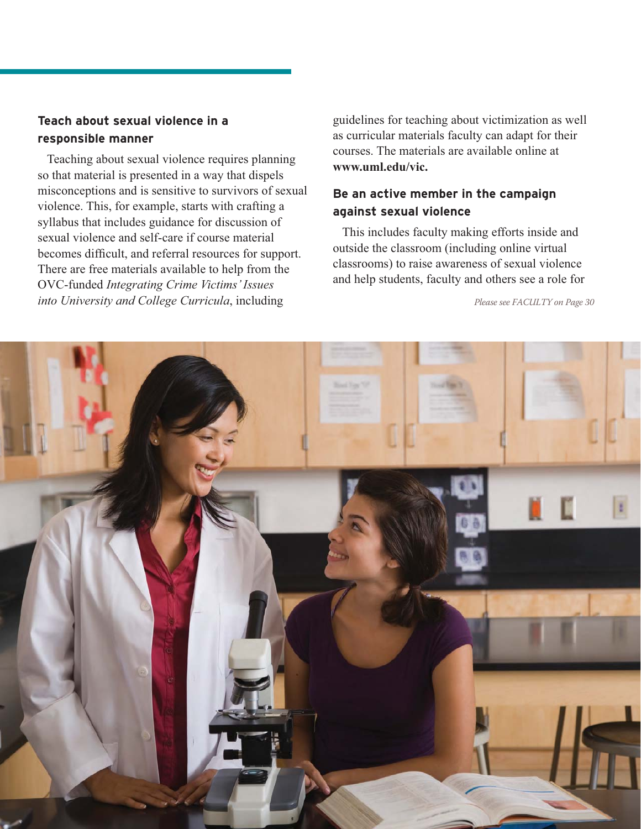#### **Teach about sexual violence in a responsible manner**

Teaching about sexual violence requires planning so that material is presented in a way that dispels misconceptions and is sensitive to survivors of sexual violence. This, for example, starts with crafting a syllabus that includes guidance for discussion of sexual violence and self-care if course material becomes difficult, and referral resources for support. There are free materials available to help from the OVC-funded *Integrating Crime Victims' Issues into University and College Curricula*, including

guidelines for teaching about victimization as well as curricular materials faculty can adapt for their courses. The materials are available online at **www.uml.edu/vic.** 

#### **Be an active member in the campaign against sexual violence**

This includes faculty making efforts inside and outside the classroom (including online virtual classrooms) to raise awareness of sexual violence and help students, faculty and others see a role for

*Please see FACULTY on Page 30*